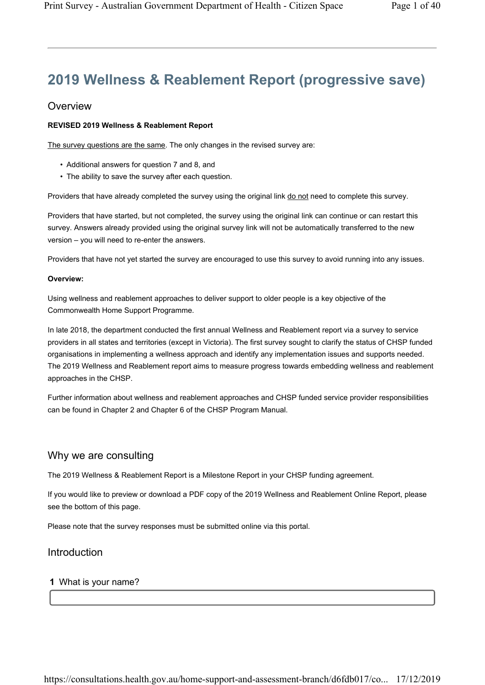# 2019 Wellness & Reablement Report (progressive save)

### **Overview**

#### REVISED 2019 Wellness & Reablement Report

The survey questions are the same. The only changes in the revised survey are:

- Additional answers for question 7 and 8, and
- The ability to save the survey after each question.

Providers that have already completed the survey using the original link do not need to complete this survey.

Providers that have started, but not completed, the survey using the original link can continue or can restart this survey. Answers already provided using the original survey link will not be automatically transferred to the new version – you will need to re-enter the answers.

Providers that have not yet started the survey are encouraged to use this survey to avoid running into any issues.

#### Overview:

Using wellness and reablement approaches to deliver support to older people is a key objective of the Commonwealth Home Support Programme.

In late 2018, the department conducted the first annual Wellness and Reablement report via a survey to service providers in all states and territories (except in Victoria). The first survey sought to clarify the status of CHSP funded organisations in implementing a wellness approach and identify any implementation issues and supports needed. The 2019 Wellness and Reablement report aims to measure progress towards embedding wellness and reablement approaches in the CHSP.

Further information about wellness and reablement approaches and CHSP funded service provider responsibilities can be found in Chapter 2 and Chapter 6 of the CHSP Program Manual.

### Why we are consulting

The 2019 Wellness & Reablement Report is a Milestone Report in your CHSP funding agreement.

If you would like to preview or download a PDF copy of the 2019 Wellness and Reablement Online Report, please see the bottom of this page.

Please note that the survey responses must be submitted online via this portal.

### Introduction

#### 1 What is your name?

https://consultations.health.gov.au/home-support-and-assessment-branch/d6fdb017/co... 17/12/2019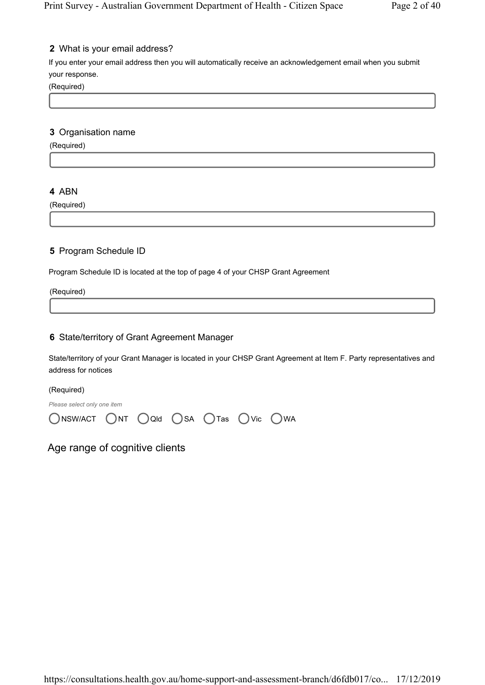### 2 What is your email address?

If you enter your email address then you will automatically receive an acknowledgement email when you submit your response.

(Required)

#### 3 Organisation name

(Required)

### 4 ABN

(Required)

### 5 Program Schedule ID

Program Schedule ID is located at the top of page 4 of your CHSP Grant Agreement

(Required)

### 6 State/territory of Grant Agreement Manager

State/territory of your Grant Manager is located in your CHSP Grant Agreement at Item F. Party representatives and address for notices

(Required)

Please select only one item

| ONSWACT ONT OQId OSA OTas OVic OWA |  |  |  |
|------------------------------------|--|--|--|
|                                    |  |  |  |

## Age range of cognitive clients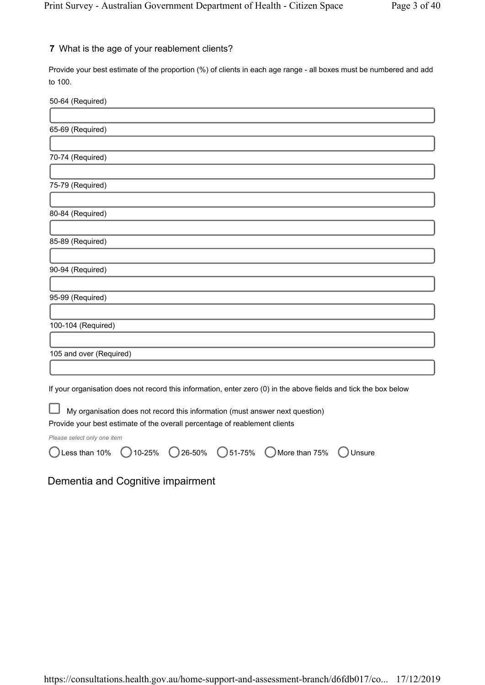### 7 What is the age of your reablement clients?

Provide your best estimate of the proportion (%) of clients in each age range - all boxes must be numbered and add to 100.

50-64 (Required)

| 65-69 (Required)                                                                                                 |
|------------------------------------------------------------------------------------------------------------------|
|                                                                                                                  |
| 70-74 (Required)                                                                                                 |
|                                                                                                                  |
| 75-79 (Required)                                                                                                 |
|                                                                                                                  |
| 80-84 (Required)                                                                                                 |
|                                                                                                                  |
| 85-89 (Required)                                                                                                 |
|                                                                                                                  |
| 90-94 (Required)                                                                                                 |
|                                                                                                                  |
| 95-99 (Required)                                                                                                 |
|                                                                                                                  |
| 100-104 (Required)                                                                                               |
|                                                                                                                  |
| 105 and over (Required)                                                                                          |
|                                                                                                                  |
| If your organisation does not record this information, enter zero (0) in the above fields and tick the box below |
| My organisation does not record this information (must answer next question)                                     |
| Provide your best estimate of the overall percentage of reablement clients                                       |

Please select only one item

Dementia and Cognitive impairment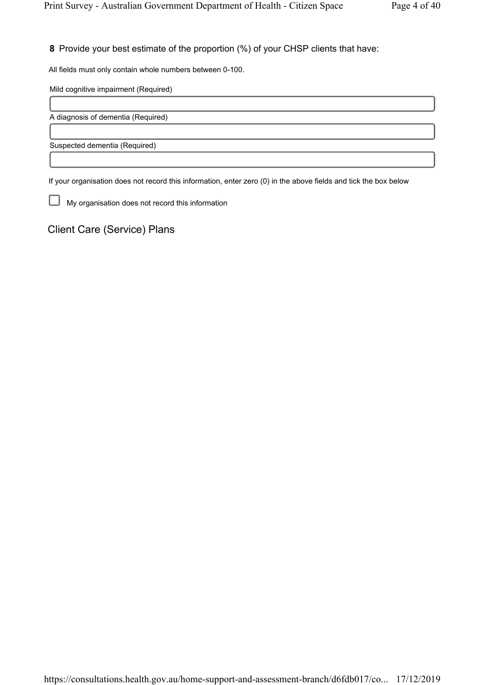8 Provide your best estimate of the proportion (%) of your CHSP clients that have:

All fields must only contain whole numbers between 0-100.

Mild cognitive impairment (Required)

A diagnosis of dementia (Required)

Suspected dementia (Required)

If your organisation does not record this information, enter zero (0) in the above fields and tick the box below

⊔ My organisation does not record this information

Client Care (Service) Plans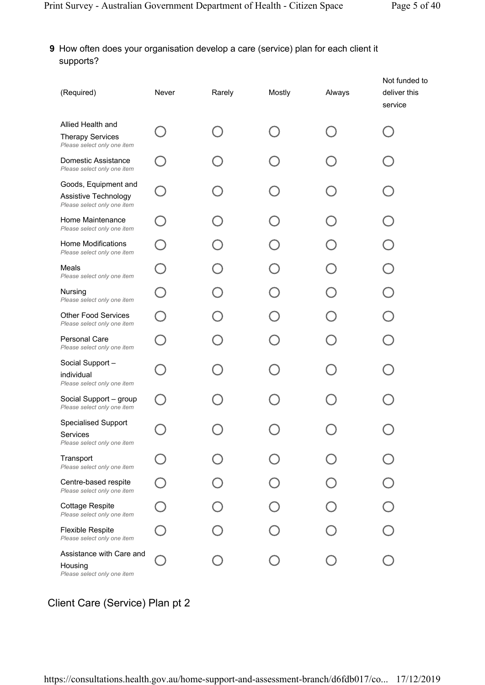## 9 How often does your organisation develop a care (service) plan for each client it supports?

| (Required)                                                                   | Never | Rarely | Mostly | Always | Not funded to<br>deliver this<br>service |
|------------------------------------------------------------------------------|-------|--------|--------|--------|------------------------------------------|
| Allied Health and<br><b>Therapy Services</b><br>Please select only one item  |       |        |        |        |                                          |
| Domestic Assistance<br>Please select only one item                           |       |        |        |        |                                          |
| Goods, Equipment and<br>Assistive Technology<br>Please select only one item  |       |        |        |        |                                          |
| Home Maintenance<br>Please select only one item                              |       |        |        |        |                                          |
| Home Modifications<br>Please select only one item                            |       |        |        |        |                                          |
| Meals<br>Please select only one item                                         |       |        |        |        |                                          |
| Nursing<br>Please select only one item                                       |       |        |        |        |                                          |
| <b>Other Food Services</b><br>Please select only one item                    |       |        |        |        |                                          |
| <b>Personal Care</b><br>Please select only one item                          |       |        |        |        |                                          |
| Social Support-<br>individual<br>Please select only one item                 |       |        |        |        |                                          |
| Social Support - group<br>Please select only one item                        |       |        |        |        |                                          |
| <b>Specialised Support</b><br><b>Services</b><br>Please select only one item |       |        |        |        |                                          |
| Transport<br>Please select only one item                                     |       |        |        |        |                                          |
| Centre-based respite<br>Please select only one item                          |       |        |        |        |                                          |
| <b>Cottage Respite</b><br>Please select only one item                        |       |        |        |        |                                          |
| <b>Flexible Respite</b><br>Please select only one item                       |       |        |        |        |                                          |
| Assistance with Care and<br>Housing<br>Please select only one item           |       |        |        |        |                                          |

## Client Care (Service) Plan pt 2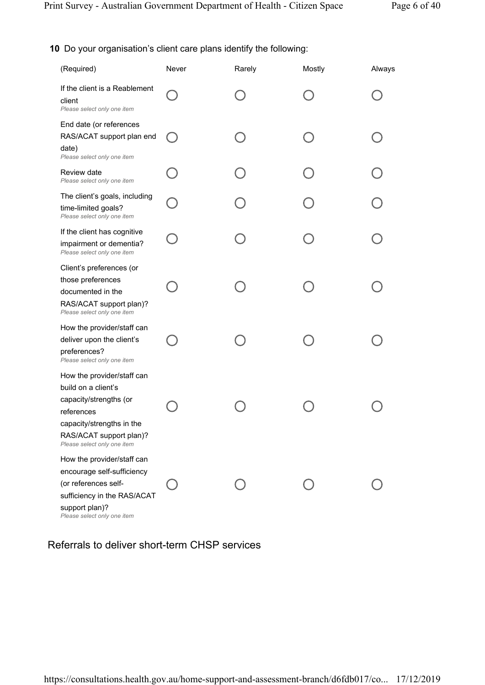### 10 Do your organisation's client care plans identify the following:

| (Required)                                                                                                                                                                       | Never  | Rarely | Mostly | Always |
|----------------------------------------------------------------------------------------------------------------------------------------------------------------------------------|--------|--------|--------|--------|
| If the client is a Reablement<br>client<br>Please select only one item                                                                                                           |        |        |        |        |
| End date (or references<br>RAS/ACAT support plan end<br>date)<br>Please select only one item                                                                                     | $(\ )$ |        |        |        |
| Review date<br>Please select only one item                                                                                                                                       |        |        |        |        |
| The client's goals, including<br>time-limited goals?<br>Please select only one item                                                                                              |        |        |        |        |
| If the client has cognitive<br>impairment or dementia?<br>Please select only one item                                                                                            |        |        |        |        |
| Client's preferences (or<br>those preferences<br>documented in the<br>RAS/ACAT support plan)?<br>Please select only one item                                                     |        |        |        |        |
| How the provider/staff can<br>deliver upon the client's<br>preferences?<br>Please select only one item                                                                           |        |        |        |        |
| How the provider/staff can<br>build on a client's<br>capacity/strengths (or<br>references<br>capacity/strengths in the<br>RAS/ACAT support plan)?<br>Please select only one item |        |        |        |        |
| How the provider/staff can<br>encourage self-sufficiency<br>(or references self-<br>sufficiency in the RAS/ACAT<br>support plan)?<br>Please select only one item                 |        |        |        |        |

Referrals to deliver short-term CHSP services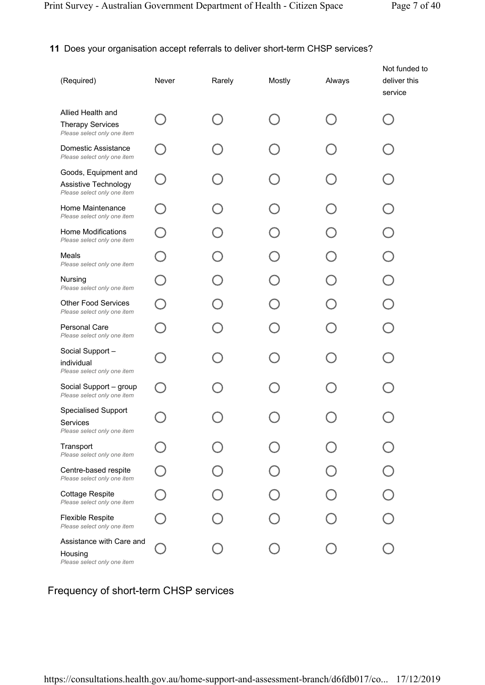## 11 Does your organisation accept referrals to deliver short-term CHSP services?

| (Required)                                                                  | Never | Rarely | Mostly | Always | Not funded to<br>deliver this<br>service |
|-----------------------------------------------------------------------------|-------|--------|--------|--------|------------------------------------------|
| Allied Health and<br><b>Therapy Services</b><br>Please select only one item |       |        |        |        |                                          |
| Domestic Assistance<br>Please select only one item                          |       |        |        |        |                                          |
| Goods, Equipment and<br>Assistive Technology<br>Please select only one item |       |        |        |        |                                          |
| Home Maintenance<br>Please select only one item                             |       |        |        |        |                                          |
| Home Modifications<br>Please select only one item                           |       |        |        |        |                                          |
| Meals<br>Please select only one item                                        |       |        |        |        |                                          |
| Nursing<br>Please select only one item                                      |       |        |        |        |                                          |
| <b>Other Food Services</b><br>Please select only one item                   |       |        |        |        |                                          |
| <b>Personal Care</b><br>Please select only one item                         |       |        |        |        |                                          |
| Social Support -<br>individual<br>Please select only one item               |       |        |        |        |                                          |
| Social Support - group<br>Please select only one item                       |       |        |        |        |                                          |
| <b>Specialised Support</b><br>Services<br>Please select only one item       |       |        |        |        |                                          |
| Transport<br>Please select only one item                                    |       |        |        |        |                                          |
| Centre-based respite<br>Please select only one item                         |       |        |        |        |                                          |
| <b>Cottage Respite</b><br>Please select only one item                       |       |        |        |        |                                          |
| <b>Flexible Respite</b><br>Please select only one item                      |       |        |        |        |                                          |
| Assistance with Care and<br>Housing<br>Please select only one item          |       |        |        |        |                                          |

## Frequency of short-term CHSP services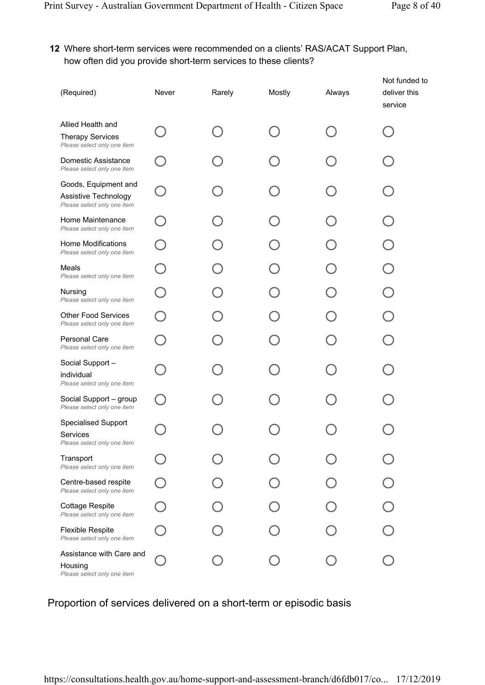### 12 Where short-term services were recommended on a clients' RAS/ACAT Support Plan, how often did you provide short-term services to these clients?

| (Required)                                                                  | Never | Rarely | Mostly | Always | Not funded to<br>deliver this<br>service |
|-----------------------------------------------------------------------------|-------|--------|--------|--------|------------------------------------------|
| Allied Health and<br><b>Therapy Services</b><br>Please select only one item |       |        |        |        |                                          |
| Domestic Assistance<br>Please select only one item                          |       |        |        |        |                                          |
| Goods, Equipment and<br>Assistive Technology<br>Please select only one item |       |        |        |        |                                          |
| Home Maintenance<br>Please select only one item                             |       |        |        |        |                                          |
| Home Modifications<br>Please select only one item                           |       |        |        |        |                                          |
| Meals<br>Please select only one item                                        |       |        |        |        |                                          |
| <b>Nursing</b><br>Please select only one item                               |       |        |        |        |                                          |
| <b>Other Food Services</b><br>Please select only one item                   |       |        |        |        |                                          |
| <b>Personal Care</b><br>Please select only one item                         |       |        |        |        |                                          |
| Social Support-<br>individual<br>Please select only one item                |       |        |        |        |                                          |
| Social Support - group<br>Please select only one item                       |       |        |        |        |                                          |
| <b>Specialised Support</b><br>Services<br>Please select only one item       |       |        |        |        |                                          |
| Transport<br>Please select only one item                                    |       |        |        |        |                                          |
| Centre-based respite<br>Please select only one item                         |       |        |        |        |                                          |
| <b>Cottage Respite</b><br>Please select only one item                       |       |        |        |        |                                          |
| <b>Flexible Respite</b><br>Please select only one item                      |       |        |        |        |                                          |
| Assistance with Care and<br>Housing<br>Please select only one item          |       |        |        |        |                                          |

## Proportion of services delivered on a short-term or episodic basis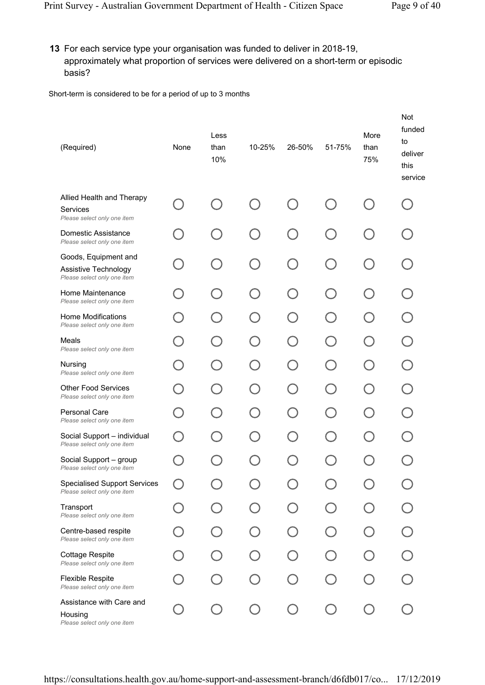13 For each service type your organisation was funded to deliver in 2018-19, approximately what proportion of services were delivered on a short-term or episodic basis?

Short-term is considered to be for a period of up to 3 months

| (Required)                                                                  | None | Less<br>than<br>10%                           | 10-25%                   | 26-50%                   | 51-75%                           | More<br>than<br>75% | Not<br>funded<br>to<br>deliver<br>this<br>service |
|-----------------------------------------------------------------------------|------|-----------------------------------------------|--------------------------|--------------------------|----------------------------------|---------------------|---------------------------------------------------|
| Allied Health and Therapy<br><b>Services</b><br>Please select only one item |      | $\overline{\phantom{a}}$                      |                          |                          |                                  |                     |                                                   |
| Domestic Assistance<br>Please select only one item                          |      | $(\ )$                                        | $\overline{\phantom{0}}$ | $\overline{\phantom{a}}$ | $\Box$                           |                     |                                                   |
| Goods, Equipment and<br>Assistive Technology<br>Please select only one item |      | $\left(\begin{array}{c} \end{array}\right)$   |                          | $\overline{\phantom{a}}$ | $\begin{array}{ccc} \end{array}$ |                     |                                                   |
| Home Maintenance<br>Please select only one item                             |      | $\left( \begin{array}{c} \end{array} \right)$ |                          | $\Box$                   | $\begin{array}{ccc} \end{array}$ |                     |                                                   |
| <b>Home Modifications</b><br>Please select only one item                    |      | Č.,                                           |                          |                          |                                  |                     |                                                   |
| Meals<br>Please select only one item                                        |      | $\overline{\phantom{a}}$                      |                          |                          | $\Box$                           | $\Box$              |                                                   |
| Nursing<br>Please select only one item                                      |      | - 1                                           |                          |                          |                                  |                     |                                                   |
| <b>Other Food Services</b><br>Please select only one item                   |      |                                               |                          |                          | $\hspace{0.1cm}$                 | $\Box$              |                                                   |
| <b>Personal Care</b><br>Please select only one item                         |      |                                               |                          |                          |                                  |                     |                                                   |
| Social Support - individual<br>Please select only one item                  |      |                                               |                          |                          |                                  |                     |                                                   |
| Social Support - group<br>Please select only one item                       |      |                                               |                          |                          |                                  |                     |                                                   |
| <b>Specialised Support Services</b><br>Please select only one item          |      |                                               |                          |                          |                                  |                     |                                                   |
| Transport<br>Please select only one item                                    |      |                                               |                          |                          |                                  |                     |                                                   |
| Centre-based respite<br>Please select only one item                         |      |                                               |                          |                          |                                  |                     |                                                   |
| <b>Cottage Respite</b><br>Please select only one item                       |      |                                               |                          |                          |                                  |                     |                                                   |
| <b>Flexible Respite</b><br>Please select only one item                      |      |                                               |                          |                          |                                  |                     |                                                   |
| Assistance with Care and<br>Housing<br>Please select only one item          |      |                                               |                          |                          |                                  |                     |                                                   |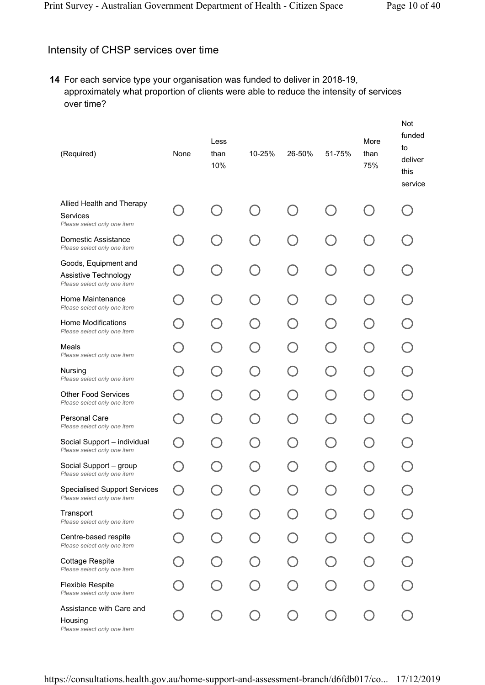## Intensity of CHSP services over time

14 For each service type your organisation was funded to deliver in 2018-19, approximately what proportion of clients were able to reduce the intensity of services over time?

| (Required)                                                                  | None | Less<br>than<br>10%                         | 10-25% | 26-50% | 51-75%                                        | More<br>than<br>75% | Not<br>funded<br>to<br>deliver<br>this<br>service |
|-----------------------------------------------------------------------------|------|---------------------------------------------|--------|--------|-----------------------------------------------|---------------------|---------------------------------------------------|
| Allied Health and Therapy<br>Services<br>Please select only one item        |      | $\begin{pmatrix} 1 \\ 1 \end{pmatrix}$      |        |        |                                               |                     |                                                   |
| Domestic Assistance<br>Please select only one item                          |      | $\begin{pmatrix} 1 \\ 1 \end{pmatrix}$      |        |        | $\overline{\phantom{a}}$                      |                     |                                                   |
| Goods, Equipment and<br>Assistive Technology<br>Please select only one item |      | $\left(\begin{array}{c} \end{array}\right)$ |        | $\Box$ | $\left( \begin{array}{c} \end{array} \right)$ |                     |                                                   |
| Home Maintenance<br>Please select only one item                             |      | $\left(\begin{array}{c} \end{array}\right)$ | $\Box$ | $\Box$ | $(\ )$                                        | $\Box$              |                                                   |
| Home Modifications<br>Please select only one item                           |      |                                             |        |        |                                               |                     |                                                   |
| Meals<br>Please select only one item                                        |      |                                             |        |        | $\Box$                                        |                     |                                                   |
| Nursing<br>Please select only one item                                      |      | ĈJ                                          |        |        |                                               |                     |                                                   |
| <b>Other Food Services</b><br>Please select only one item                   |      | - 1                                         |        |        | $\Box$                                        |                     |                                                   |
| <b>Personal Care</b><br>Please select only one item                         |      |                                             |        |        |                                               |                     |                                                   |
| Social Support - individual<br>Please select only one item                  |      |                                             |        |        |                                               |                     |                                                   |
| Social Support - group<br>Please select only one item                       |      |                                             |        |        |                                               |                     |                                                   |
| <b>Specialised Support Services</b><br>Please select only one item          |      |                                             |        |        |                                               |                     |                                                   |
| Transport<br>Please select only one item                                    |      |                                             |        |        |                                               |                     |                                                   |
| Centre-based respite<br>Please select only one item                         |      |                                             |        |        |                                               |                     |                                                   |
| Cottage Respite<br>Please select only one item                              |      |                                             |        |        |                                               |                     |                                                   |
| <b>Flexible Respite</b><br>Please select only one item                      |      |                                             |        |        |                                               |                     |                                                   |
| Assistance with Care and<br>Housing<br>Please select only one item          |      |                                             |        |        |                                               |                     |                                                   |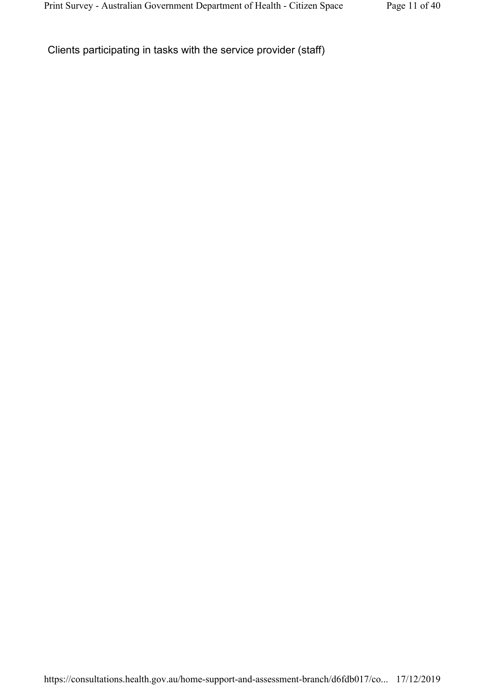Clients participating in tasks with the service provider (staff)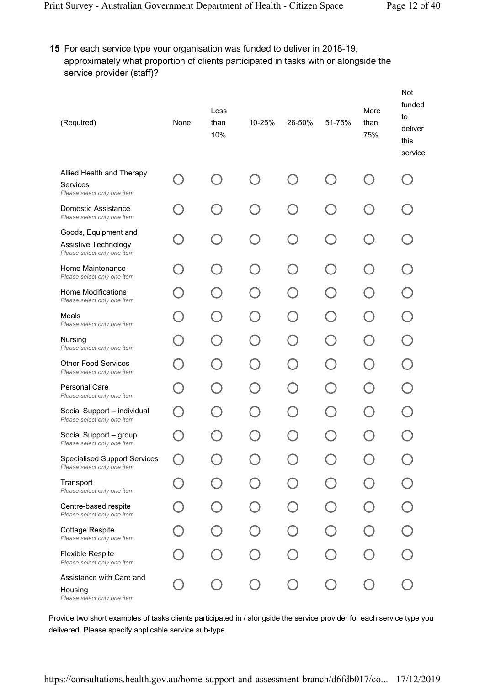15 For each service type your organisation was funded to deliver in 2018-19, approximately what proportion of clients participated in tasks with or alongside the service provider (staff)?

| (Required)                                                                  | None | Less<br>than<br>10%      | 10-25% | 26-50% | 51-75%                   | More<br>than<br>75% | Not<br>funded<br>to<br>deliver<br>this<br>service |
|-----------------------------------------------------------------------------|------|--------------------------|--------|--------|--------------------------|---------------------|---------------------------------------------------|
| Allied Health and Therapy<br>Services<br>Please select only one item        |      |                          |        |        |                          |                     |                                                   |
| Domestic Assistance<br>Please select only one item                          |      | $\overline{\phantom{a}}$ |        |        | $\overline{\phantom{a}}$ |                     |                                                   |
| Goods, Equipment and<br>Assistive Technology<br>Please select only one item |      | $\bigcap$                |        | $\Box$ | ( )                      |                     |                                                   |
| Home Maintenance<br>Please select only one item                             |      | $\Box$                   |        |        | ( )                      |                     |                                                   |
| Home Modifications<br>Please select only one item                           |      |                          |        |        |                          |                     |                                                   |
| Meals<br>Please select only one item                                        |      |                          |        |        | $\Box$                   |                     |                                                   |
| Nursing<br>Please select only one item                                      |      |                          |        |        |                          |                     |                                                   |
| <b>Other Food Services</b><br>Please select only one item                   |      |                          |        |        |                          |                     |                                                   |
| <b>Personal Care</b><br>Please select only one item                         |      |                          |        |        |                          |                     |                                                   |
| Social Support - individual<br>Please select only one item                  |      |                          |        |        |                          |                     |                                                   |
| Social Support - group<br>Please select only one item                       |      |                          |        |        |                          |                     |                                                   |
| <b>Specialised Support Services</b><br>Please select only one item          |      |                          |        |        |                          |                     |                                                   |
| Transport<br>Please select only one item                                    |      |                          |        |        |                          |                     |                                                   |
| Centre-based respite<br>Please select only one item                         |      |                          |        |        |                          |                     |                                                   |
| <b>Cottage Respite</b><br>Please select only one item                       |      |                          |        |        |                          |                     |                                                   |
| <b>Flexible Respite</b><br>Please select only one item                      |      |                          |        |        |                          |                     |                                                   |
| Assistance with Care and<br>Housing<br>Please select only one item          |      |                          |        |        |                          |                     |                                                   |

Provide two short examples of tasks clients participated in / alongside the service provider for each service type you delivered. Please specify applicable service sub-type.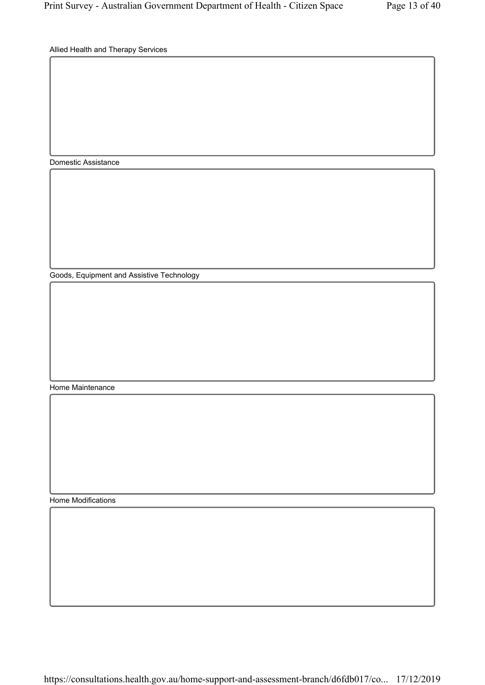Allied Health and Therapy Services

Domestic Assistance

Goods, Equipment and Assistive Technology

Home Maintenance

Home Modifications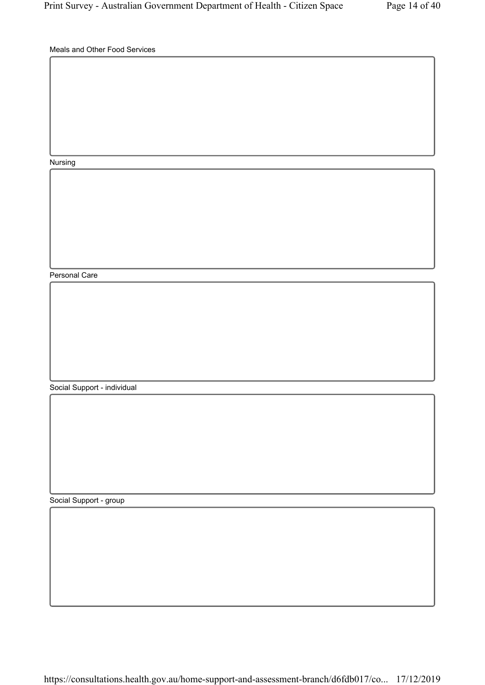Meals and Other Food Services

Nursing

Personal Care

Social Support - individual

Social Support - group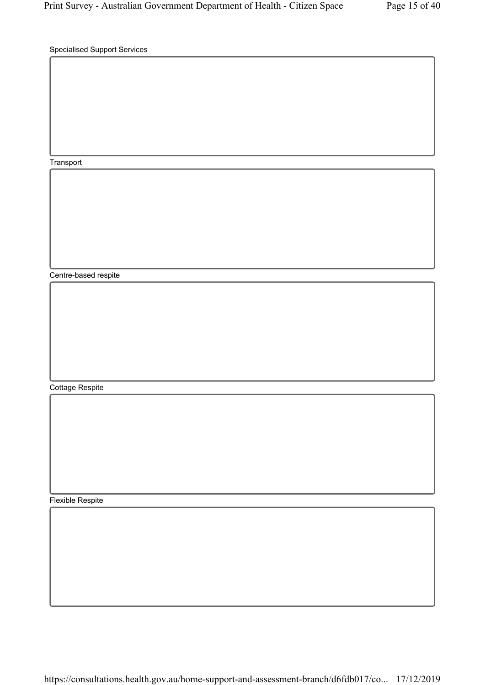Specialised Support Services

Transport

Centre-based respite

Cottage Respite

Flexible Respite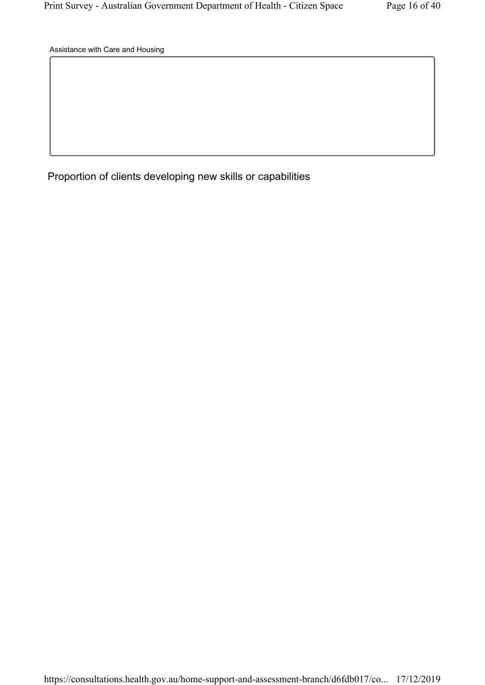Assistance with Care and Housing

Proportion of clients developing new skills or capabilities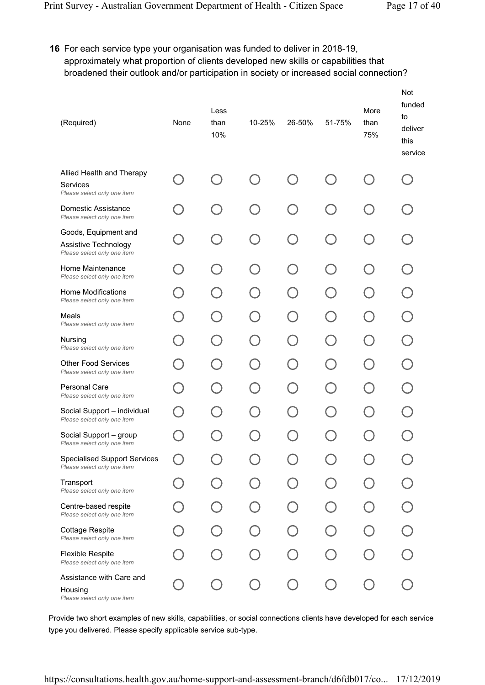### 16 For each service type your organisation was funded to deliver in 2018-19, approximately what proportion of clients developed new skills or capabilities that broadened their outlook and/or participation in society or increased social connection?

| (Required)                                                                  | None | Less<br>than<br>10%      | 10-25% | 26-50% | 51-75%                   | More<br>than<br>75% | Not<br>funded<br>to<br>deliver<br>this<br>service |
|-----------------------------------------------------------------------------|------|--------------------------|--------|--------|--------------------------|---------------------|---------------------------------------------------|
| Allied Health and Therapy<br>Services<br>Please select only one item        |      |                          |        |        |                          |                     |                                                   |
| Domestic Assistance<br>Please select only one item                          |      | $\overline{\phantom{a}}$ |        |        | $\overline{\phantom{a}}$ |                     |                                                   |
| Goods, Equipment and<br>Assistive Technology<br>Please select only one item |      | $\bigcap$                |        | $\Box$ | ( )                      |                     |                                                   |
| Home Maintenance<br>Please select only one item                             |      | $\Box$                   |        |        | ( )                      |                     |                                                   |
| Home Modifications<br>Please select only one item                           |      |                          |        |        |                          |                     |                                                   |
| Meals<br>Please select only one item                                        |      |                          |        |        | $\Box$                   |                     |                                                   |
| Nursing<br>Please select only one item                                      |      |                          |        |        |                          |                     |                                                   |
| <b>Other Food Services</b><br>Please select only one item                   |      |                          |        |        |                          |                     |                                                   |
| <b>Personal Care</b><br>Please select only one item                         |      |                          |        |        |                          |                     |                                                   |
| Social Support - individual<br>Please select only one item                  |      |                          |        |        |                          |                     |                                                   |
| Social Support - group<br>Please select only one item                       |      |                          |        |        |                          |                     |                                                   |
| <b>Specialised Support Services</b><br>Please select only one item          |      |                          |        |        |                          |                     |                                                   |
| Transport<br>Please select only one item                                    |      |                          |        |        |                          |                     |                                                   |
| Centre-based respite<br>Please select only one item                         |      |                          |        |        |                          |                     |                                                   |
| <b>Cottage Respite</b><br>Please select only one item                       |      |                          |        |        |                          |                     |                                                   |
| <b>Flexible Respite</b><br>Please select only one item                      |      |                          |        |        |                          |                     |                                                   |
| Assistance with Care and<br>Housing<br>Please select only one item          |      |                          |        |        |                          |                     |                                                   |

Provide two short examples of new skills, capabilities, or social connections clients have developed for each service type you delivered. Please specify applicable service sub-type.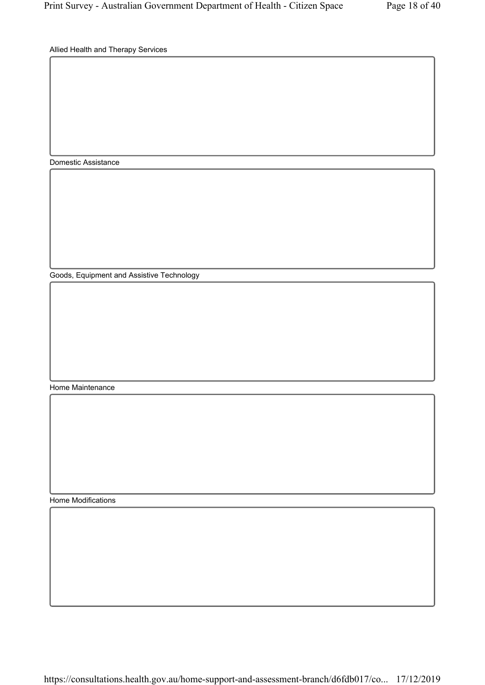Allied Health and Therapy Services

Domestic Assistance

Goods, Equipment and Assistive Technology

Home Maintenance

Home Modifications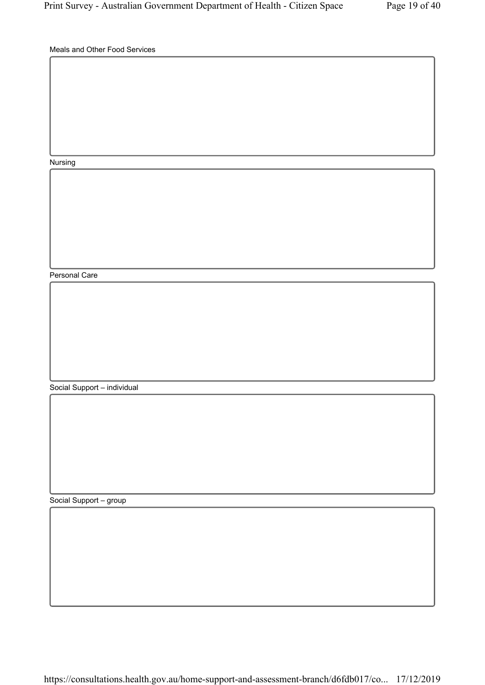Meals and Other Food Services

Nursing

Personal Care

Social Support – individual

Social Support – group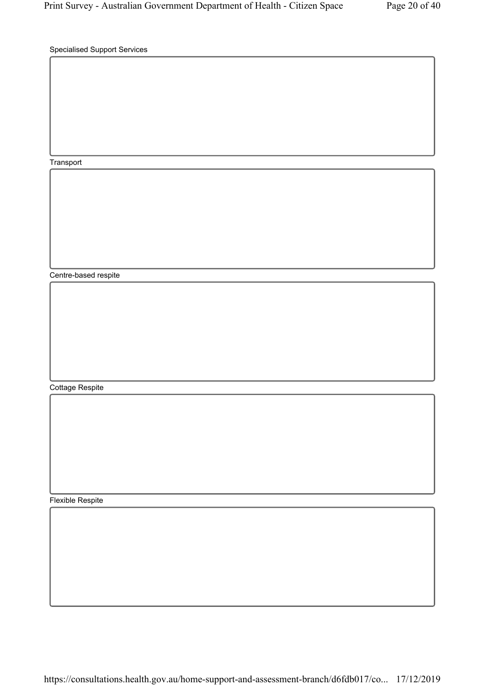Specialised Support Services

Transport

Centre-based respite

Cottage Respite

Flexible Respite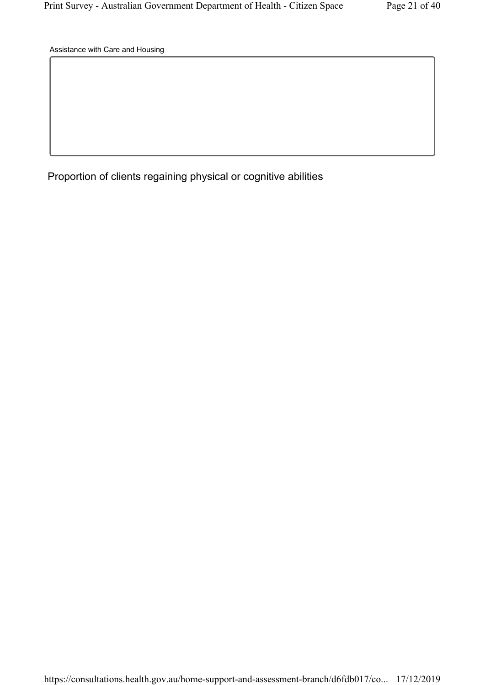Assistance with Care and Housing

Proportion of clients regaining physical or cognitive abilities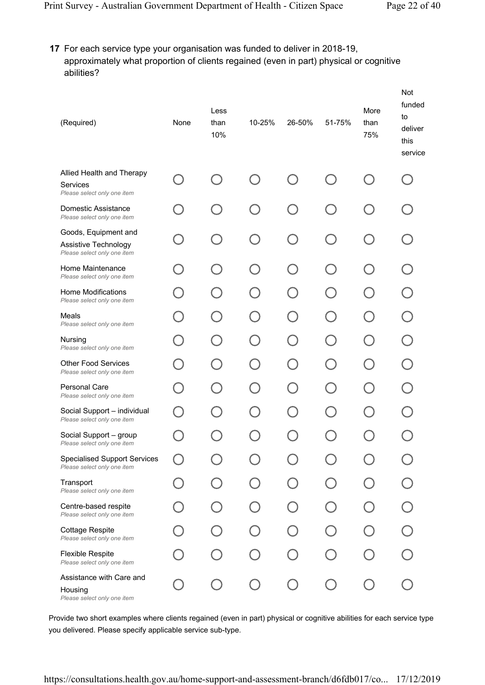## 17 For each service type your organisation was funded to deliver in 2018-19, approximately what proportion of clients regained (even in part) physical or cognitive abilities?

| (Required)                                                                  | None | Less<br>than<br>10%                    | 10-25% | 26-50% | 51-75%               | More<br>than<br>75% | Not<br>funded<br>to<br>deliver<br>this<br>service |
|-----------------------------------------------------------------------------|------|----------------------------------------|--------|--------|----------------------|---------------------|---------------------------------------------------|
| Allied Health and Therapy<br>Services<br>Please select only one item        |      |                                        |        |        |                      |                     |                                                   |
| Domestic Assistance<br>Please select only one item                          |      | $\overline{\phantom{0}}$               |        | $\Box$ | $\Box$               |                     |                                                   |
| Goods, Equipment and<br>Assistive Technology<br>Please select only one item |      | $\begin{pmatrix} 1 \\ 1 \end{pmatrix}$ |        |        | ( )                  |                     |                                                   |
| Home Maintenance<br>Please select only one item                             |      | $\begin{pmatrix} 1 \\ 1 \end{pmatrix}$ |        | $\Box$ | ( )                  |                     |                                                   |
| <b>Home Modifications</b><br>Please select only one item                    |      |                                        |        |        |                      |                     |                                                   |
| Meals<br>Please select only one item                                        |      |                                        |        |        | $\qquad \qquad \Box$ |                     |                                                   |
| Nursing<br>Please select only one item                                      |      | $\overline{\phantom{a}}$               |        |        |                      |                     |                                                   |
| <b>Other Food Services</b><br>Please select only one item                   |      |                                        |        |        |                      |                     |                                                   |
| Personal Care<br>Please select only one item                                |      |                                        |        |        |                      |                     |                                                   |
| Social Support - individual<br>Please select only one item                  |      |                                        |        |        |                      |                     |                                                   |
| Social Support - group<br>Please select only one item                       |      |                                        |        |        |                      |                     |                                                   |
| <b>Specialised Support Services</b><br>Please select only one item          |      |                                        |        |        |                      |                     |                                                   |
| Transport<br>Please select only one item                                    |      |                                        |        |        |                      |                     |                                                   |
| Centre-based respite<br>Please select only one item                         |      |                                        |        |        |                      |                     |                                                   |
| <b>Cottage Respite</b><br>Please select only one item                       |      |                                        |        |        |                      |                     |                                                   |
| Flexible Respite<br>Please select only one item                             |      |                                        |        |        |                      |                     |                                                   |
| Assistance with Care and<br>Housing<br>Please select only one item          |      |                                        |        |        |                      |                     |                                                   |

Provide two short examples where clients regained (even in part) physical or cognitive abilities for each service type you delivered. Please specify applicable service sub-type.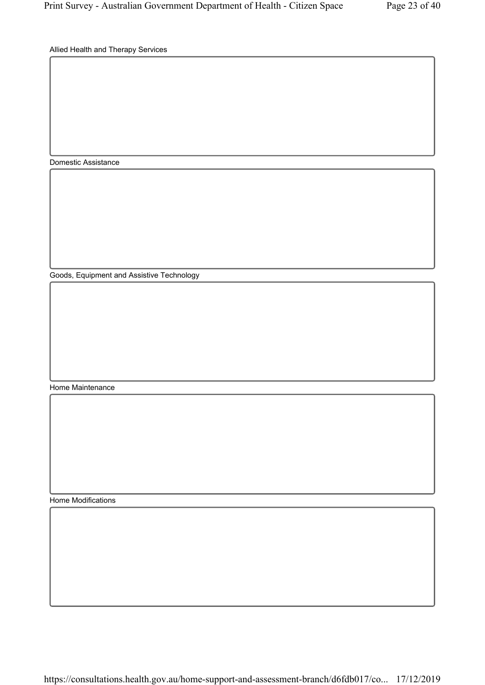Allied Health and Therapy Services

Domestic Assistance

Goods, Equipment and Assistive Technology

Home Maintenance

Home Modifications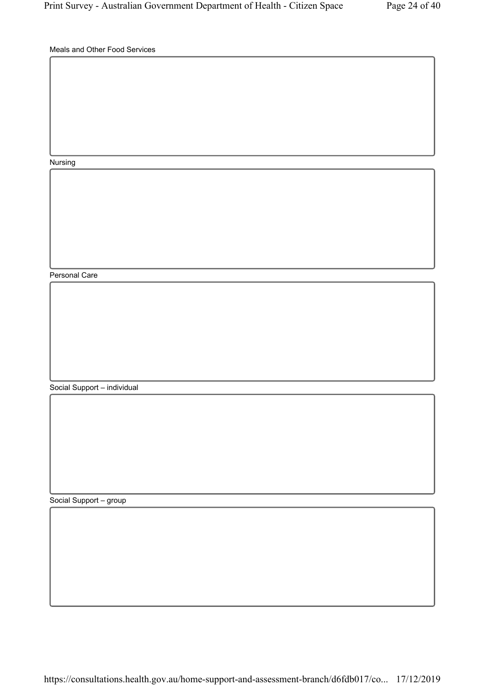Meals and Other Food Services

Nursing

Personal Care

Social Support – individual

Social Support – group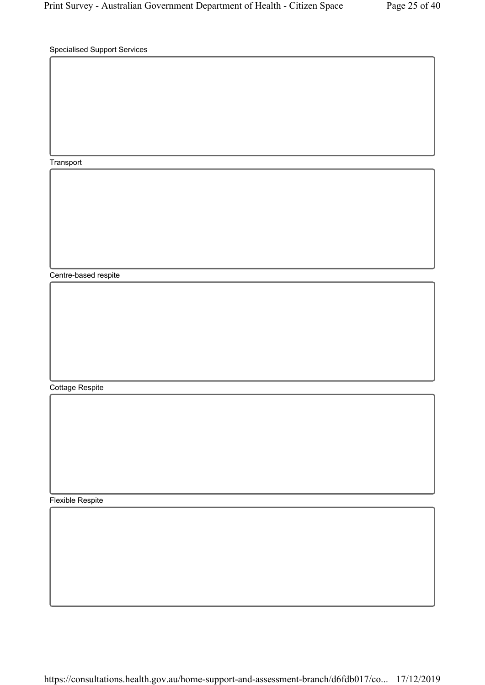Specialised Support Services

Transport

Centre-based respite

Cottage Respite

Flexible Respite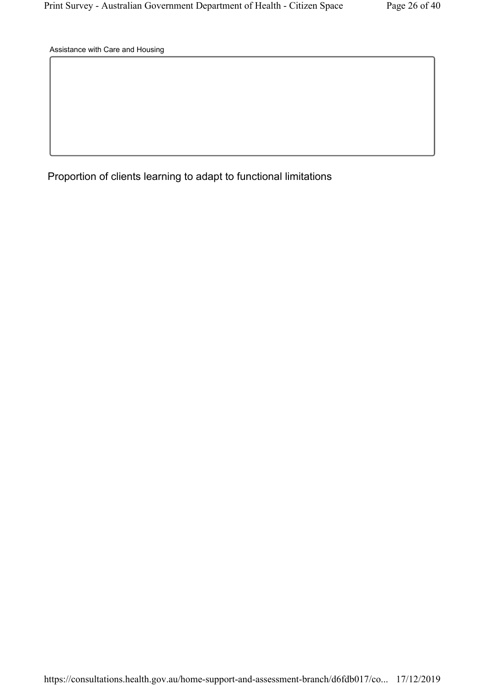Assistance with Care and Housing

Proportion of clients learning to adapt to functional limitations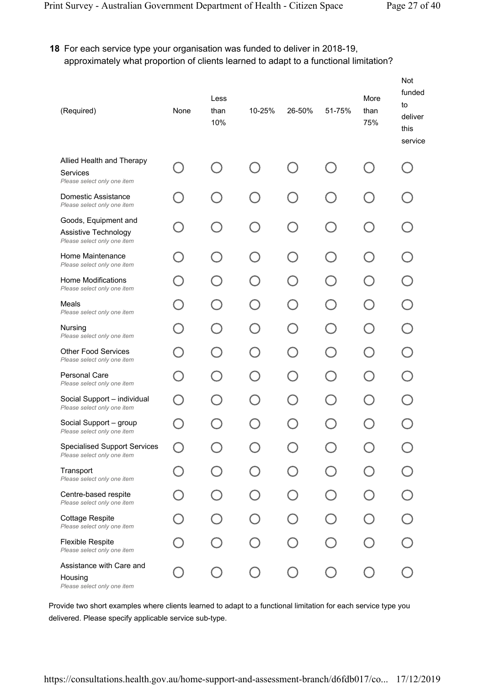## 18 For each service type your organisation was funded to deliver in 2018-19, approximately what proportion of clients learned to adapt to a functional limitation?

| (Required)                                                                  | None | Less<br>than<br>10%      | 10-25% | 26-50% | 51-75%                                        | More<br>than<br>75% | Not<br>funded<br>to<br>deliver<br>this<br>service |
|-----------------------------------------------------------------------------|------|--------------------------|--------|--------|-----------------------------------------------|---------------------|---------------------------------------------------|
| Allied Health and Therapy<br>Services<br>Please select only one item        |      |                          |        |        |                                               |                     |                                                   |
| Domestic Assistance<br>Please select only one item                          |      | $\Box$                   |        | $\Box$ | $\Box$                                        |                     |                                                   |
| Goods, Equipment and<br>Assistive Technology<br>Please select only one item |      | $\bigcap$                |        | $\Box$ | ( )                                           |                     |                                                   |
| Home Maintenance<br>Please select only one item                             |      | $\Box$                   |        | $\Box$ | $(\ )$                                        |                     |                                                   |
| <b>Home Modifications</b><br>Please select only one item                    |      | $\overline{\phantom{a}}$ |        |        |                                               |                     |                                                   |
| Meals<br>Please select only one item                                        |      | $\Box$                   |        | $\Box$ | $\left( \begin{array}{c} \end{array} \right)$ |                     |                                                   |
| Nursing<br>Please select only one item                                      |      |                          |        |        |                                               |                     |                                                   |
| <b>Other Food Services</b><br>Please select only one item                   |      | - 1                      |        |        | $\Box$                                        |                     |                                                   |
| <b>Personal Care</b><br>Please select only one item                         |      |                          |        |        | $\bar{ }$                                     |                     |                                                   |
| Social Support - individual<br>Please select only one item                  |      |                          |        |        |                                               |                     |                                                   |
| Social Support - group<br>Please select only one item                       |      |                          |        |        |                                               |                     |                                                   |
| <b>Specialised Support Services</b><br>Please select only one item          |      |                          |        |        |                                               |                     |                                                   |
| Transport<br>Please select only one item                                    |      |                          |        |        |                                               |                     |                                                   |
| Centre-based respite<br>Please select only one item                         |      |                          |        |        |                                               |                     |                                                   |
| <b>Cottage Respite</b><br>Please select only one item                       |      |                          |        |        |                                               |                     |                                                   |
| <b>Flexible Respite</b><br>Please select only one item                      |      |                          |        |        |                                               |                     |                                                   |
| Assistance with Care and<br>Housing<br>Please select only one item          |      |                          |        |        |                                               |                     |                                                   |

Provide two short examples where clients learned to adapt to a functional limitation for each service type you delivered. Please specify applicable service sub-type.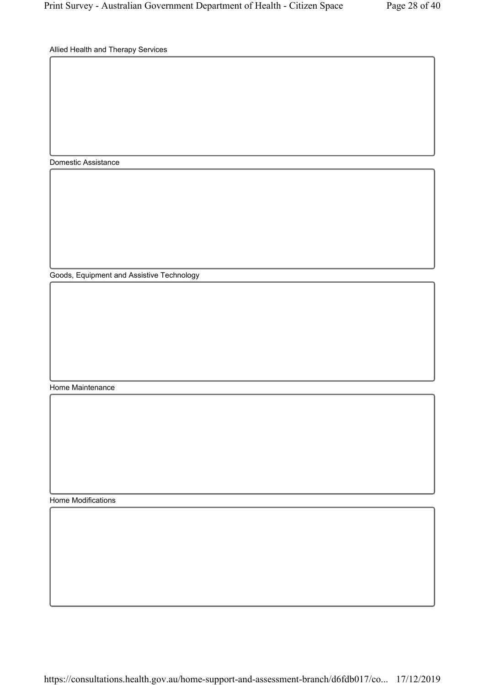Allied Health and Therapy Services

Domestic Assistance

Goods, Equipment and Assistive Technology

Home Maintenance

Home Modifications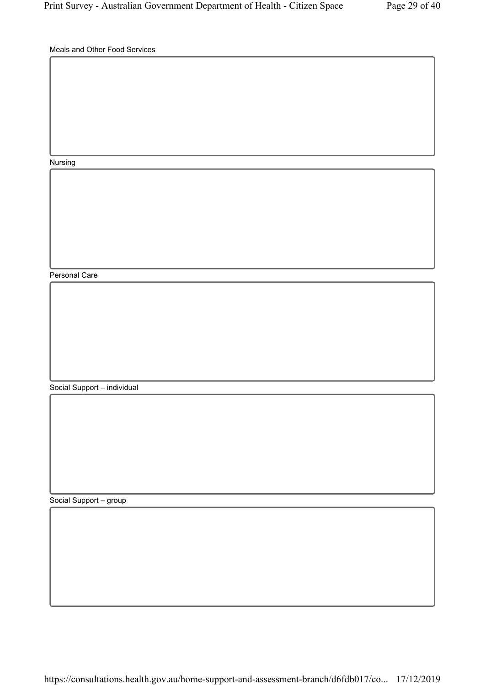Meals and Other Food Services

Nursing

Personal Care

Social Support – individual

Social Support – group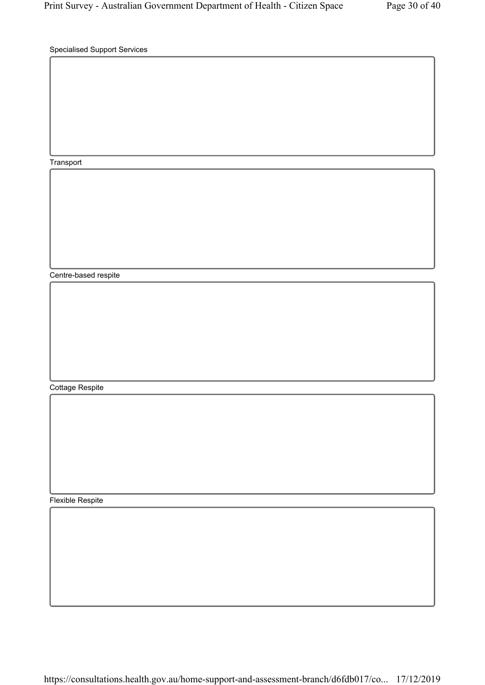Specialised Support Services

Transport

Centre-based respite

Cottage Respite

Flexible Respite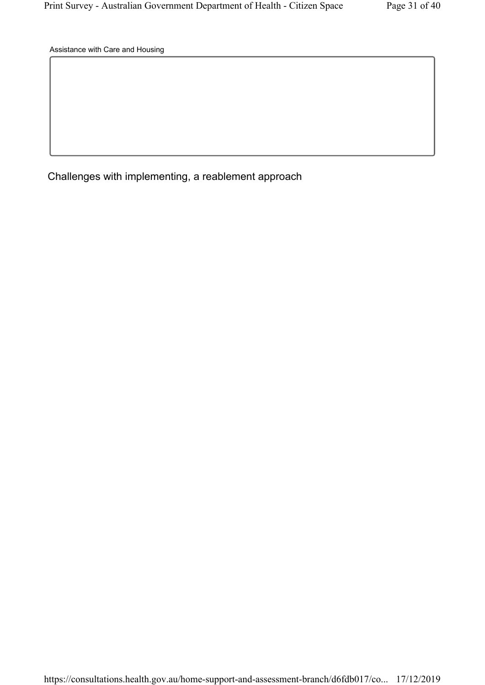Assistance with Care and Housing

Challenges with implementing, a reablement approach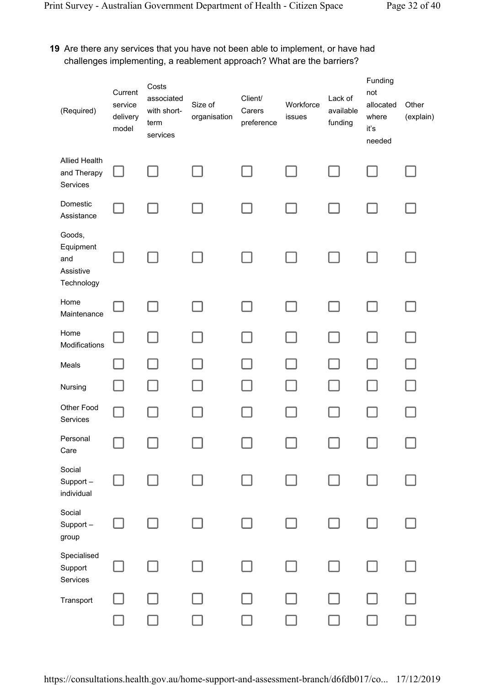## 19 Are there any services that you have not been able to implement, or have had challenges implementing, a reablement approach? What are the barriers?

| (Required)                                            | Current<br>service<br>delivery<br>model | Costs<br>associated<br>with short-<br>term<br>services | Size of<br>organisation | Client/<br>Carers<br>preference | Workforce<br>issues | Lack of<br>available<br>funding | Funding<br>not<br>allocated<br>where<br>iť's<br>needed | Other<br>(explain) |
|-------------------------------------------------------|-----------------------------------------|--------------------------------------------------------|-------------------------|---------------------------------|---------------------|---------------------------------|--------------------------------------------------------|--------------------|
| <b>Allied Health</b><br>and Therapy<br>Services       |                                         |                                                        |                         |                                 |                     |                                 |                                                        |                    |
| Domestic<br>Assistance                                |                                         |                                                        |                         |                                 |                     |                                 |                                                        |                    |
| Goods,<br>Equipment<br>and<br>Assistive<br>Technology |                                         |                                                        |                         |                                 |                     |                                 |                                                        |                    |
| Home<br>Maintenance                                   |                                         |                                                        |                         |                                 |                     |                                 |                                                        |                    |
| Home<br>Modifications                                 |                                         |                                                        |                         |                                 |                     |                                 |                                                        |                    |
| Meals                                                 |                                         |                                                        |                         |                                 |                     |                                 |                                                        |                    |
| Nursing                                               |                                         |                                                        |                         |                                 |                     |                                 |                                                        |                    |
| Other Food<br>Services                                |                                         |                                                        |                         |                                 |                     |                                 |                                                        |                    |
| Personal<br>Care                                      |                                         |                                                        |                         |                                 |                     |                                 |                                                        |                    |
| Social<br>Support-<br>individual                      |                                         |                                                        |                         |                                 |                     |                                 |                                                        |                    |
| Social<br>Support-<br>group                           |                                         |                                                        |                         |                                 |                     |                                 |                                                        |                    |
| Specialised<br>Support<br>Services                    |                                         |                                                        |                         |                                 |                     |                                 |                                                        |                    |
| Transport                                             |                                         |                                                        |                         |                                 |                     |                                 |                                                        |                    |
|                                                       |                                         |                                                        |                         |                                 |                     |                                 |                                                        |                    |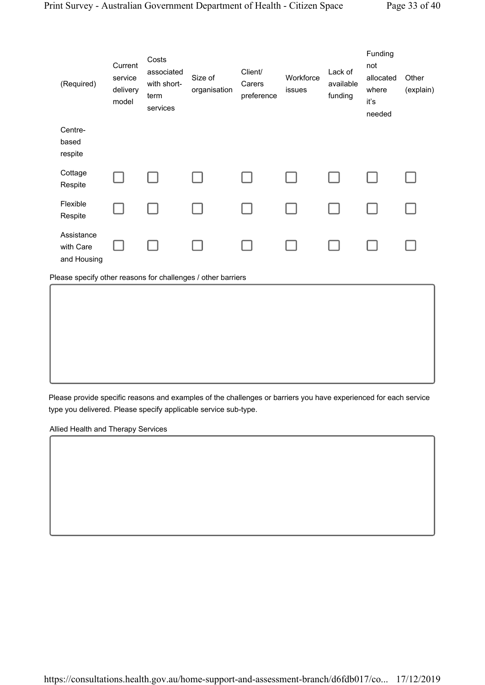| (Required)                                                   | Current<br>service<br>delivery<br>model | Costs<br>associated<br>with short-<br>term<br>services | Size of<br>organisation | Client/<br>Carers<br>preference | Workforce<br>issues | Lack of<br>available<br>funding | Funding<br>not<br>allocated<br>where<br>iť's<br>needed | Other<br>(explain) |
|--------------------------------------------------------------|-----------------------------------------|--------------------------------------------------------|-------------------------|---------------------------------|---------------------|---------------------------------|--------------------------------------------------------|--------------------|
| Centre-<br>based<br>respite                                  |                                         |                                                        |                         |                                 |                     |                                 |                                                        |                    |
| Cottage<br>Respite                                           |                                         |                                                        |                         |                                 |                     |                                 |                                                        |                    |
| Flexible<br>Respite                                          |                                         |                                                        |                         |                                 |                     |                                 |                                                        |                    |
| Assistance<br>with Care<br>and Housing                       |                                         |                                                        |                         |                                 |                     |                                 |                                                        |                    |
| Please specify other reasons for challenges / other barriers |                                         |                                                        |                         |                                 |                     |                                 |                                                        |                    |
|                                                              |                                         |                                                        |                         |                                 |                     |                                 |                                                        |                    |

Please provide specific reasons and examples of the challenges or barriers you have experienced for each service type you delivered. Please specify applicable service sub-type.

Allied Health and Therapy Services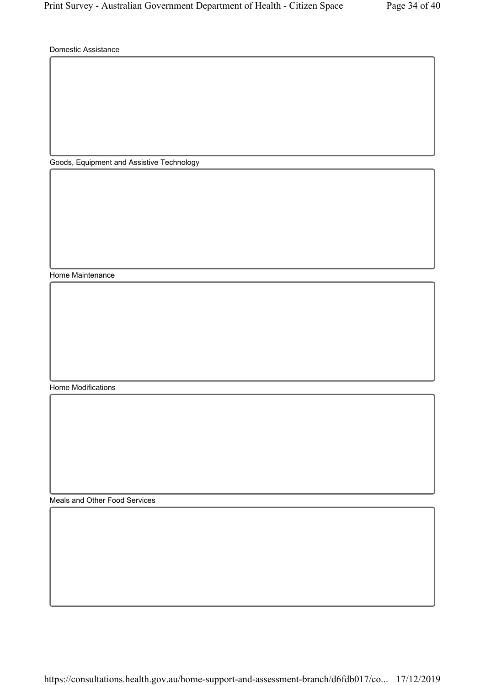Domestic Assistance

Goods, Equipment and Assistive Technology

Home Maintenance

Home Modifications

Meals and Other Food Services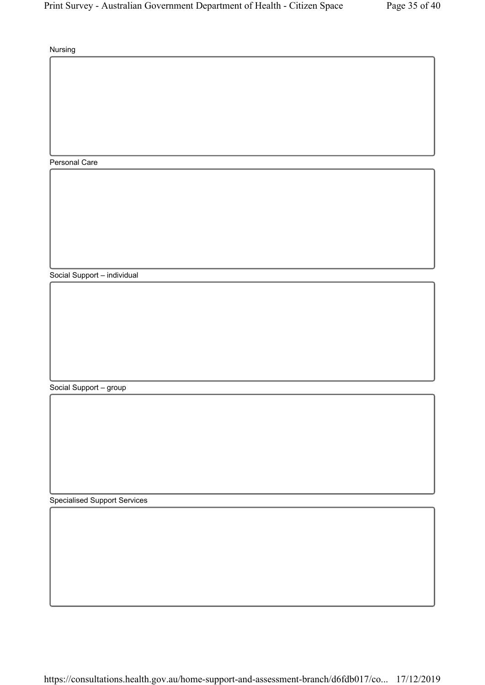Nursing

Personal Care

Social Support – individual

Social Support – group

Specialised Support Services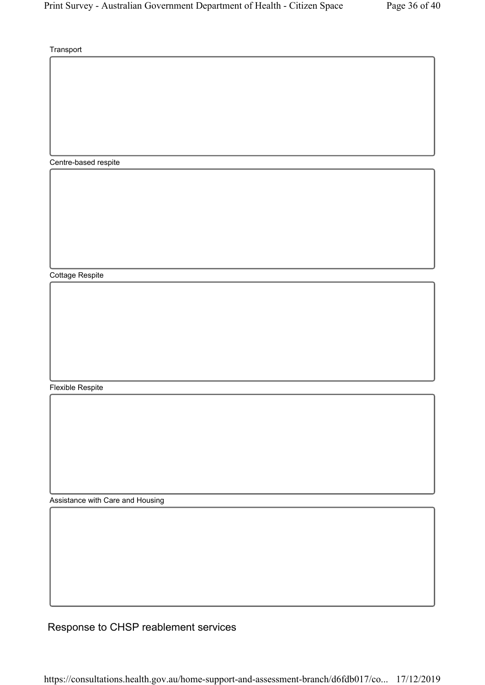**Transport** 

Centre-based respite

Cottage Respite

Flexible Respite

Assistance with Care and Housing

Response to CHSP reablement services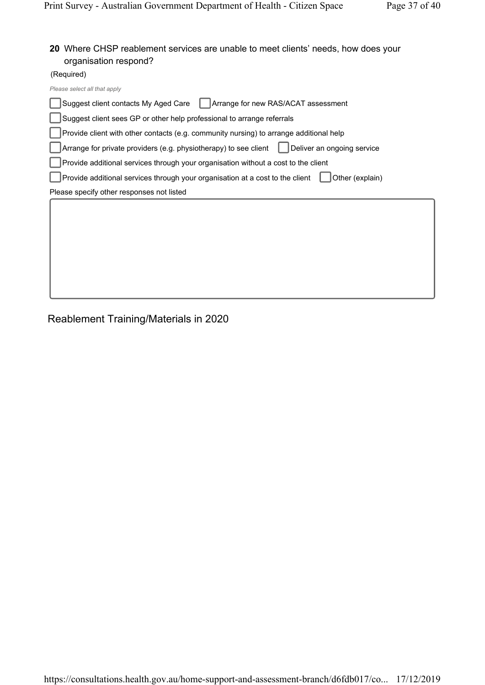### 20 Where CHSP reablement services are unable to meet clients' needs, how does your organisation respond?

(Required)

| Please select all that apply                                                                     |
|--------------------------------------------------------------------------------------------------|
| Suggest client contacts My Aged Care<br>Arrange for new RAS/ACAT assessment                      |
| Suggest client sees GP or other help professional to arrange referrals                           |
| Provide client with other contacts (e.g. community nursing) to arrange additional help           |
| Arrange for private providers (e.g. physiotherapy) to see client<br>Deliver an ongoing service   |
| Provide additional services through your organisation without a cost to the client               |
| Other (explain)<br>Provide additional services through your organisation at a cost to the client |
| Please specify other responses not listed                                                        |
|                                                                                                  |
|                                                                                                  |
|                                                                                                  |
|                                                                                                  |
|                                                                                                  |
|                                                                                                  |
|                                                                                                  |

Reablement Training/Materials in 2020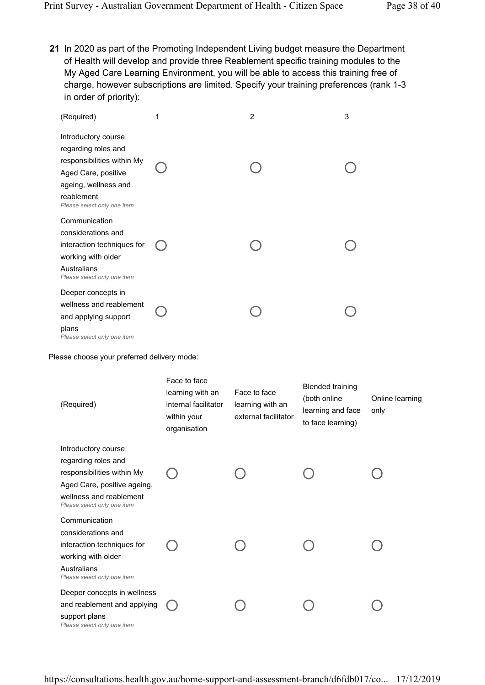21 In 2020 as part of the Promoting Independent Living budget measure the Department of Health will develop and provide three Reablement specific training modules to the My Aged Care Learning Environment, you will be able to access this training free of charge, however subscriptions are limited. Specify your training preferences (rank 1-3 in order of priority):

| (Required)                                                                                                                                                           | 1 | $\overline{2}$ | 3 |
|----------------------------------------------------------------------------------------------------------------------------------------------------------------------|---|----------------|---|
| Introductory course<br>regarding roles and<br>responsibilities within My<br>Aged Care, positive<br>ageing, wellness and<br>reablement<br>Please select only one item |   |                |   |
| Communication<br>considerations and<br>interaction techniques for<br>working with older<br>Australians<br>Please select only one item                                |   |                |   |
| Deeper concepts in<br>wellness and reablement<br>and applying support<br>plans<br>Please select only one item                                                        |   |                |   |

Please choose your preferred delivery mode:

| (Required)                                                                                                                                                        | Face to face<br>learning with an<br>internal facilitator<br>within your<br>organisation | Face to face<br>learning with an<br>external facilitator | <b>Blended training</b><br>(both online<br>learning and face<br>to face learning) | Online learning<br>only |
|-------------------------------------------------------------------------------------------------------------------------------------------------------------------|-----------------------------------------------------------------------------------------|----------------------------------------------------------|-----------------------------------------------------------------------------------|-------------------------|
| Introductory course<br>regarding roles and<br>responsibilities within My<br>Aged Care, positive ageing,<br>wellness and reablement<br>Please select only one item |                                                                                         |                                                          |                                                                                   |                         |
| Communication<br>considerations and<br>interaction techniques for<br>working with older<br>Australians<br>Please select only one item                             |                                                                                         |                                                          |                                                                                   |                         |
| Deeper concepts in wellness<br>and reablement and applying<br>support plans<br>Please select only one item                                                        |                                                                                         |                                                          |                                                                                   |                         |

https://consultations.health.gov.au/home-support-and-assessment-branch/d6fdb017/co... 17/12/2019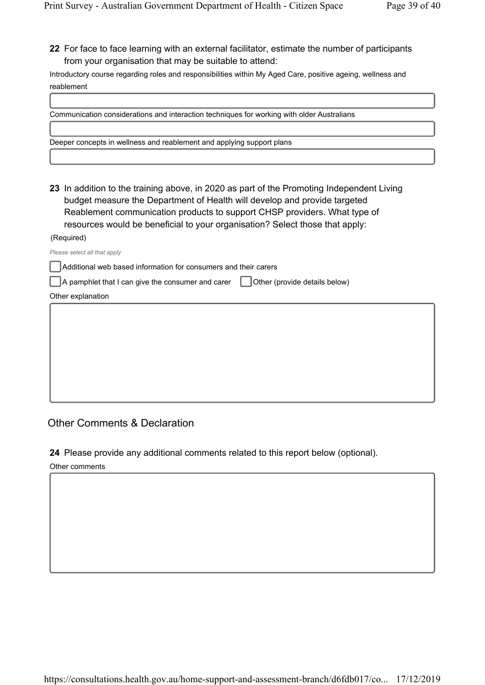22 For face to face learning with an external facilitator, estimate the number of participants from your organisation that may be suitable to attend:

Introductory course regarding roles and responsibilities within My Aged Care, positive ageing, wellness and reablement

| Communication considerations and interaction techniques for working with older Australians                                                                                                                                                                                                                                          |
|-------------------------------------------------------------------------------------------------------------------------------------------------------------------------------------------------------------------------------------------------------------------------------------------------------------------------------------|
| Deeper concepts in wellness and reablement and applying support plans                                                                                                                                                                                                                                                               |
|                                                                                                                                                                                                                                                                                                                                     |
| 23 In addition to the training above, in 2020 as part of the Promoting Independent Living<br>budget measure the Department of Health will develop and provide targeted<br>Reablement communication products to support CHSP providers. What type of<br>resources would be beneficial to your organisation? Select those that apply: |
| (Required)                                                                                                                                                                                                                                                                                                                          |
| Please select all that apply                                                                                                                                                                                                                                                                                                        |
| Additional web based information for consumers and their carers                                                                                                                                                                                                                                                                     |
| A pamphlet that I can give the consumer and carer     Other (provide details below)                                                                                                                                                                                                                                                 |
| Other explanation                                                                                                                                                                                                                                                                                                                   |

## Other Comments & Declaration

24 Please provide any additional comments related to this report below (optional).

Other comments

f